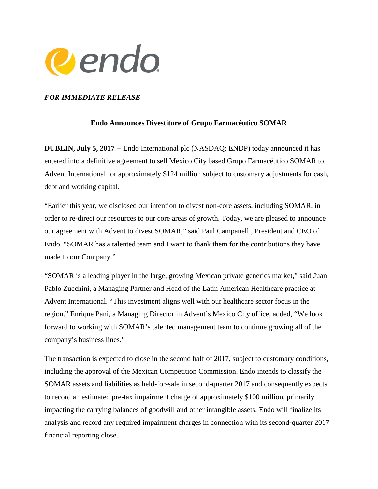

## *FOR IMMEDIATE RELEASE*

#### **Endo Announces Divestiture of Grupo Farmacéutico SOMAR**

**DUBLIN, July 5, 2017 --** Endo International plc (NASDAQ: ENDP) today announced it has entered into a definitive agreement to sell Mexico City based Grupo Farmacéutico SOMAR to Advent International for approximately \$124 million subject to customary adjustments for cash, debt and working capital.

"Earlier this year, we disclosed our intention to divest non-core assets, including SOMAR, in order to re-direct our resources to our core areas of growth. Today, we are pleased to announce our agreement with Advent to divest SOMAR," said Paul Campanelli, President and CEO of Endo. "SOMAR has a talented team and I want to thank them for the contributions they have made to our Company."

"SOMAR is a leading player in the large, growing Mexican private generics market," said Juan Pablo Zucchini, a Managing Partner and Head of the Latin American Healthcare practice at Advent International. "This investment aligns well with our healthcare sector focus in the region." Enrique Pani, a Managing Director in Advent's Mexico City office, added, "We look forward to working with SOMAR's talented management team to continue growing all of the company's business lines."

The transaction is expected to close in the second half of 2017, subject to customary conditions, including the approval of the Mexican Competition Commission. Endo intends to classify the SOMAR assets and liabilities as held-for-sale in second-quarter 2017 and consequently expects to record an estimated pre-tax impairment charge of approximately \$100 million, primarily impacting the carrying balances of goodwill and other intangible assets. Endo will finalize its analysis and record any required impairment charges in connection with its second-quarter 2017 financial reporting close.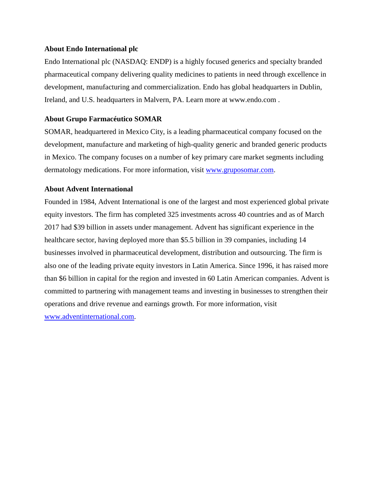#### **About Endo International plc**

Endo International plc (NASDAQ: ENDP) is a highly focused generics and specialty branded pharmaceutical company delivering quality medicines to patients in need through excellence in development, manufacturing and commercialization. Endo has global headquarters in Dublin, Ireland, and U.S. headquarters in Malvern, PA. Learn more at www.endo.com .

# **About Grupo Farmacéutico SOMAR**

SOMAR, headquartered in Mexico City, is a leading pharmaceutical company focused on the development, manufacture and marketing of high-quality generic and branded generic products in Mexico. The company focuses on a number of key primary care market segments including dermatology medications. For more information, visit [www.gruposomar.com.](http://www.gruposomar.com/)

# **About Advent International**

Founded in 1984, Advent International is one of the largest and most experienced global private equity investors. The firm has completed 325 investments across 40 countries and as of March 2017 had \$39 billion in assets under management. Advent has significant experience in the healthcare sector, having deployed more than \$5.5 billion in 39 companies, including 14 businesses involved in pharmaceutical development, distribution and outsourcing. The firm is also one of the leading private equity investors in Latin America. Since 1996, it has raised more than \$6 billion in capital for the region and invested in 60 Latin American companies. Advent is committed to partnering with management teams and investing in businesses to strengthen their operations and drive revenue and earnings growth. For more information, visit [www.adventinternational.com.](https://www.adventinternational.com/)